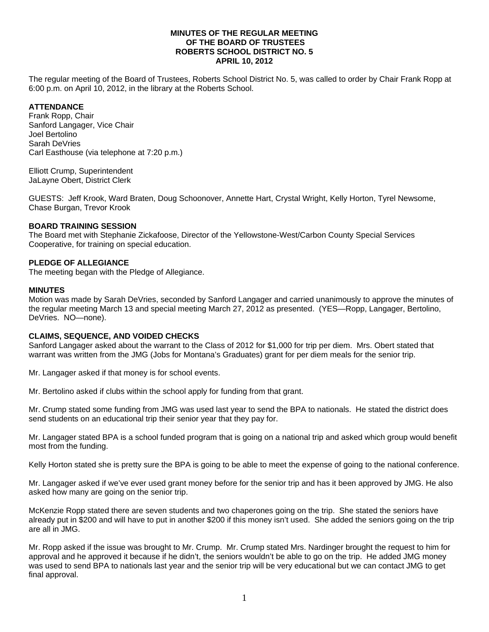#### **MINUTES OF THE REGULAR MEETING OF THE BOARD OF TRUSTEES ROBERTS SCHOOL DISTRICT NO. 5 APRIL 10, 2012**

The regular meeting of the Board of Trustees, Roberts School District No. 5, was called to order by Chair Frank Ropp at 6:00 p.m. on April 10, 2012, in the library at the Roberts School.

# **ATTENDANCE**

Frank Ropp, Chair Sanford Langager, Vice Chair Joel Bertolino Sarah DeVries Carl Easthouse (via telephone at 7:20 p.m.)

Elliott Crump, Superintendent JaLayne Obert, District Clerk

GUESTS: Jeff Krook, Ward Braten, Doug Schoonover, Annette Hart, Crystal Wright, Kelly Horton, Tyrel Newsome, Chase Burgan, Trevor Krook

### **BOARD TRAINING SESSION**

The Board met with Stephanie Zickafoose, Director of the Yellowstone-West/Carbon County Special Services Cooperative, for training on special education.

#### **PLEDGE OF ALLEGIANCE**

The meeting began with the Pledge of Allegiance.

#### **MINUTES**

Motion was made by Sarah DeVries, seconded by Sanford Langager and carried unanimously to approve the minutes of the regular meeting March 13 and special meeting March 27, 2012 as presented. (YES—Ropp, Langager, Bertolino, DeVries. NO—none).

#### **CLAIMS, SEQUENCE, AND VOIDED CHECKS**

Sanford Langager asked about the warrant to the Class of 2012 for \$1,000 for trip per diem. Mrs. Obert stated that warrant was written from the JMG (Jobs for Montana's Graduates) grant for per diem meals for the senior trip.

Mr. Langager asked if that money is for school events.

Mr. Bertolino asked if clubs within the school apply for funding from that grant.

Mr. Crump stated some funding from JMG was used last year to send the BPA to nationals. He stated the district does send students on an educational trip their senior year that they pay for.

Mr. Langager stated BPA is a school funded program that is going on a national trip and asked which group would benefit most from the funding.

Kelly Horton stated she is pretty sure the BPA is going to be able to meet the expense of going to the national conference.

Mr. Langager asked if we've ever used grant money before for the senior trip and has it been approved by JMG. He also asked how many are going on the senior trip.

McKenzie Ropp stated there are seven students and two chaperones going on the trip. She stated the seniors have already put in \$200 and will have to put in another \$200 if this money isn't used. She added the seniors going on the trip are all in JMG.

Mr. Ropp asked if the issue was brought to Mr. Crump. Mr. Crump stated Mrs. Nardinger brought the request to him for approval and he approved it because if he didn't, the seniors wouldn't be able to go on the trip. He added JMG money was used to send BPA to nationals last year and the senior trip will be very educational but we can contact JMG to get final approval.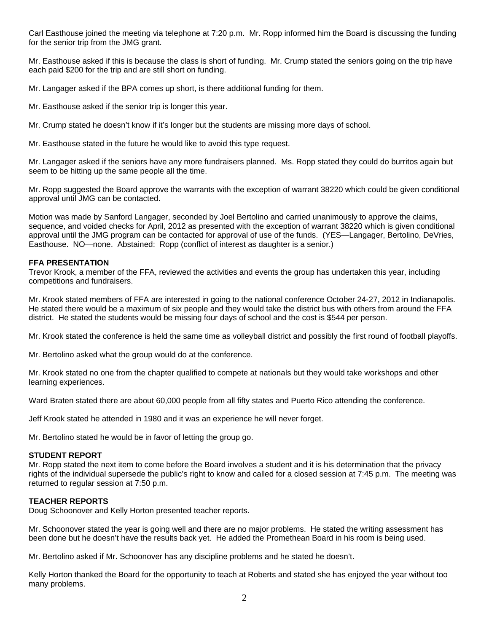Carl Easthouse joined the meeting via telephone at 7:20 p.m. Mr. Ropp informed him the Board is discussing the funding for the senior trip from the JMG grant.

Mr. Easthouse asked if this is because the class is short of funding. Mr. Crump stated the seniors going on the trip have each paid \$200 for the trip and are still short on funding.

Mr. Langager asked if the BPA comes up short, is there additional funding for them.

Mr. Easthouse asked if the senior trip is longer this year.

Mr. Crump stated he doesn't know if it's longer but the students are missing more days of school.

Mr. Easthouse stated in the future he would like to avoid this type request.

Mr. Langager asked if the seniors have any more fundraisers planned. Ms. Ropp stated they could do burritos again but seem to be hitting up the same people all the time.

Mr. Ropp suggested the Board approve the warrants with the exception of warrant 38220 which could be given conditional approval until JMG can be contacted.

Motion was made by Sanford Langager, seconded by Joel Bertolino and carried unanimously to approve the claims, sequence, and voided checks for April, 2012 as presented with the exception of warrant 38220 which is given conditional approval until the JMG program can be contacted for approval of use of the funds. (YES—Langager, Bertolino, DeVries, Easthouse. NO—none. Abstained: Ropp (conflict of interest as daughter is a senior.)

### **FFA PRESENTATION**

Trevor Krook, a member of the FFA, reviewed the activities and events the group has undertaken this year, including competitions and fundraisers.

Mr. Krook stated members of FFA are interested in going to the national conference October 24-27, 2012 in Indianapolis. He stated there would be a maximum of six people and they would take the district bus with others from around the FFA district. He stated the students would be missing four days of school and the cost is \$544 per person.

Mr. Krook stated the conference is held the same time as volleyball district and possibly the first round of football playoffs.

Mr. Bertolino asked what the group would do at the conference.

Mr. Krook stated no one from the chapter qualified to compete at nationals but they would take workshops and other learning experiences.

Ward Braten stated there are about 60,000 people from all fifty states and Puerto Rico attending the conference.

Jeff Krook stated he attended in 1980 and it was an experience he will never forget.

Mr. Bertolino stated he would be in favor of letting the group go.

#### **STUDENT REPORT**

Mr. Ropp stated the next item to come before the Board involves a student and it is his determination that the privacy rights of the individual supersede the public's right to know and called for a closed session at 7:45 p.m. The meeting was returned to regular session at 7:50 p.m.

## **TEACHER REPORTS**

Doug Schoonover and Kelly Horton presented teacher reports.

Mr. Schoonover stated the year is going well and there are no major problems. He stated the writing assessment has been done but he doesn't have the results back yet. He added the Promethean Board in his room is being used.

Mr. Bertolino asked if Mr. Schoonover has any discipline problems and he stated he doesn't.

Kelly Horton thanked the Board for the opportunity to teach at Roberts and stated she has enjoyed the year without too many problems.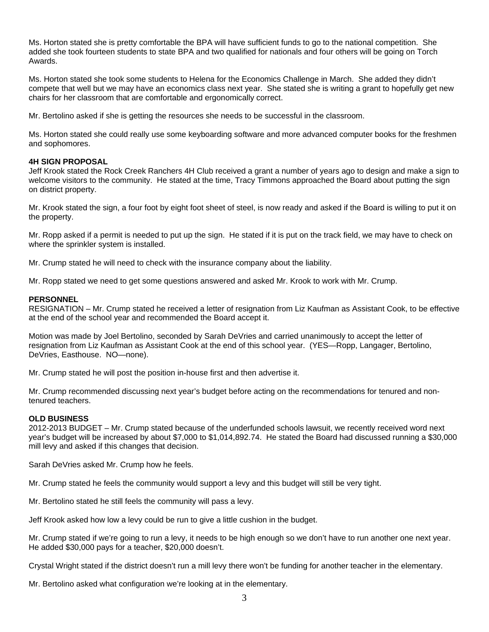Ms. Horton stated she is pretty comfortable the BPA will have sufficient funds to go to the national competition. She added she took fourteen students to state BPA and two qualified for nationals and four others will be going on Torch Awards.

Ms. Horton stated she took some students to Helena for the Economics Challenge in March. She added they didn't compete that well but we may have an economics class next year. She stated she is writing a grant to hopefully get new chairs for her classroom that are comfortable and ergonomically correct.

Mr. Bertolino asked if she is getting the resources she needs to be successful in the classroom.

Ms. Horton stated she could really use some keyboarding software and more advanced computer books for the freshmen and sophomores.

### **4H SIGN PROPOSAL**

Jeff Krook stated the Rock Creek Ranchers 4H Club received a grant a number of years ago to design and make a sign to welcome visitors to the community. He stated at the time, Tracy Timmons approached the Board about putting the sign on district property.

Mr. Krook stated the sign, a four foot by eight foot sheet of steel, is now ready and asked if the Board is willing to put it on the property.

Mr. Ropp asked if a permit is needed to put up the sign. He stated if it is put on the track field, we may have to check on where the sprinkler system is installed.

Mr. Crump stated he will need to check with the insurance company about the liability.

Mr. Ropp stated we need to get some questions answered and asked Mr. Krook to work with Mr. Crump.

### **PERSONNEL**

RESIGNATION – Mr. Crump stated he received a letter of resignation from Liz Kaufman as Assistant Cook, to be effective at the end of the school year and recommended the Board accept it.

Motion was made by Joel Bertolino, seconded by Sarah DeVries and carried unanimously to accept the letter of resignation from Liz Kaufman as Assistant Cook at the end of this school year. (YES—Ropp, Langager, Bertolino, DeVries, Easthouse. NO—none).

Mr. Crump stated he will post the position in-house first and then advertise it.

Mr. Crump recommended discussing next year's budget before acting on the recommendations for tenured and nontenured teachers.

## **OLD BUSINESS**

2012-2013 BUDGET – Mr. Crump stated because of the underfunded schools lawsuit, we recently received word next year's budget will be increased by about \$7,000 to \$1,014,892.74. He stated the Board had discussed running a \$30,000 mill levy and asked if this changes that decision.

Sarah DeVries asked Mr. Crump how he feels.

Mr. Crump stated he feels the community would support a levy and this budget will still be very tight.

Mr. Bertolino stated he still feels the community will pass a levy.

Jeff Krook asked how low a levy could be run to give a little cushion in the budget.

Mr. Crump stated if we're going to run a levy, it needs to be high enough so we don't have to run another one next year. He added \$30,000 pays for a teacher, \$20,000 doesn't.

Crystal Wright stated if the district doesn't run a mill levy there won't be funding for another teacher in the elementary.

Mr. Bertolino asked what configuration we're looking at in the elementary.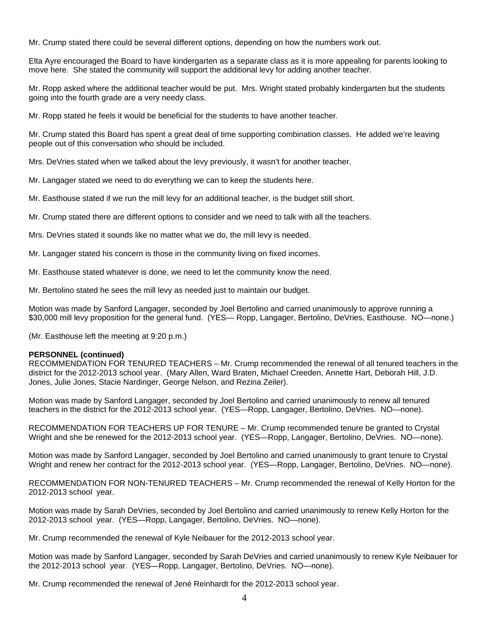Mr. Crump stated there could be several different options, depending on how the numbers work out.

Elta Ayre encouraged the Board to have kindergarten as a separate class as it is more appealing for parents looking to move here. She stated the community will support the additional levy for adding another teacher.

Mr. Ropp asked where the additional teacher would be put. Mrs. Wright stated probably kindergarten but the students going into the fourth grade are a very needy class.

Mr. Ropp stated he feels it would be beneficial for the students to have another teacher.

Mr. Crump stated this Board has spent a great deal of time supporting combination classes. He added we're leaving people out of this conversation who should be included.

Mrs. DeVries stated when we talked about the levy previously, it wasn't for another teacher.

Mr. Langager stated we need to do everything we can to keep the students here.

Mr. Easthouse stated if we run the mill levy for an additional teacher, is the budget still short.

Mr. Crump stated there are different options to consider and we need to talk with all the teachers.

Mrs. DeVries stated it sounds like no matter what we do, the mill levy is needed.

Mr. Langager stated his concern is those in the community living on fixed incomes.

Mr. Easthouse stated whatever is done, we need to let the community know the need.

Mr. Bertolino stated he sees the mill levy as needed just to maintain our budget.

Motion was made by Sanford Langager, seconded by Joel Bertolino and carried unanimously to approve running a \$30,000 mill levy proposition for the general fund. (YES— Ropp, Langager, Bertolino, DeVries, Easthouse. NO—none.)

(Mr. Easthouse left the meeting at 9:20 p.m.)

#### **PERSONNEL (continued)**

RECOMMENDATION FOR TENURED TEACHERS – Mr. Crump recommended the renewal of all tenured teachers in the district for the 2012-2013 school year. (Mary Allen, Ward Braten, Michael Creeden, Annette Hart, Deborah Hill, J.D. Jones, Julie Jones, Stacie Nardinger, George Nelson, and Rezina Zeiler).

Motion was made by Sanford Langager, seconded by Joel Bertolino and carried unanimously to renew all tenured teachers in the district for the 2012-2013 school year. (YES—Ropp, Langager, Bertolino, DeVries. NO—none).

RECOMMENDATION FOR TEACHERS UP FOR TENURE – Mr. Crump recommended tenure be granted to Crystal Wright and she be renewed for the 2012-2013 school year. (YES—Ropp, Langager, Bertolino, DeVries. NO—none).

Motion was made by Sanford Langager, seconded by Joel Bertolino and carried unanimously to grant tenure to Crystal Wright and renew her contract for the 2012-2013 school year. (YES—Ropp, Langager, Bertolino, DeVries. NO—none).

RECOMMENDATION FOR NON-TENURED TEACHERS – Mr. Crump recommended the renewal of Kelly Horton for the 2012-2013 school year.

Motion was made by Sarah DeVries, seconded by Joel Bertolino and carried unanimously to renew Kelly Horton for the 2012-2013 school year. (YES—Ropp, Langager, Bertolino, DeVries. NO—none).

Mr. Crump recommended the renewal of Kyle Neibauer for the 2012-2013 school year.

Motion was made by Sanford Langager, seconded by Sarah DeVries and carried unanimously to renew Kyle Neibauer for the 2012-2013 school year. (YES—Ropp, Langager, Bertolino, DeVries. NO—none).

Mr. Crump recommended the renewal of Jené Reinhardt for the 2012-2013 school year.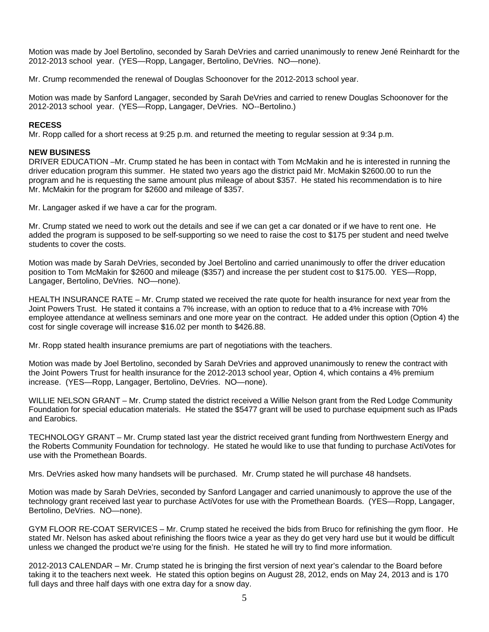Motion was made by Joel Bertolino, seconded by Sarah DeVries and carried unanimously to renew Jené Reinhardt for the 2012-2013 school year. (YES—Ropp, Langager, Bertolino, DeVries. NO—none).

Mr. Crump recommended the renewal of Douglas Schoonover for the 2012-2013 school year.

Motion was made by Sanford Langager, seconded by Sarah DeVries and carried to renew Douglas Schoonover for the 2012-2013 school year. (YES—Ropp, Langager, DeVries. NO--Bertolino.)

### **RECESS**

Mr. Ropp called for a short recess at 9:25 p.m. and returned the meeting to regular session at 9:34 p.m.

### **NEW BUSINESS**

DRIVER EDUCATION –Mr. Crump stated he has been in contact with Tom McMakin and he is interested in running the driver education program this summer. He stated two years ago the district paid Mr. McMakin \$2600.00 to run the program and he is requesting the same amount plus mileage of about \$357. He stated his recommendation is to hire Mr. McMakin for the program for \$2600 and mileage of \$357.

Mr. Langager asked if we have a car for the program.

Mr. Crump stated we need to work out the details and see if we can get a car donated or if we have to rent one. He added the program is supposed to be self-supporting so we need to raise the cost to \$175 per student and need twelve students to cover the costs.

Motion was made by Sarah DeVries, seconded by Joel Bertolino and carried unanimously to offer the driver education position to Tom McMakin for \$2600 and mileage (\$357) and increase the per student cost to \$175.00. YES—Ropp, Langager, Bertolino, DeVries. NO—none).

HEALTH INSURANCE RATE – Mr. Crump stated we received the rate quote for health insurance for next year from the Joint Powers Trust. He stated it contains a 7% increase, with an option to reduce that to a 4% increase with 70% employee attendance at wellness seminars and one more year on the contract. He added under this option (Option 4) the cost for single coverage will increase \$16.02 per month to \$426.88.

Mr. Ropp stated health insurance premiums are part of negotiations with the teachers.

Motion was made by Joel Bertolino, seconded by Sarah DeVries and approved unanimously to renew the contract with the Joint Powers Trust for health insurance for the 2012-2013 school year, Option 4, which contains a 4% premium increase. (YES—Ropp, Langager, Bertolino, DeVries. NO—none).

WILLIE NELSON GRANT – Mr. Crump stated the district received a Willie Nelson grant from the Red Lodge Community Foundation for special education materials. He stated the \$5477 grant will be used to purchase equipment such as IPads and Earobics.

TECHNOLOGY GRANT – Mr. Crump stated last year the district received grant funding from Northwestern Energy and the Roberts Community Foundation for technology. He stated he would like to use that funding to purchase ActiVotes for use with the Promethean Boards.

Mrs. DeVries asked how many handsets will be purchased. Mr. Crump stated he will purchase 48 handsets.

Motion was made by Sarah DeVries, seconded by Sanford Langager and carried unanimously to approve the use of the technology grant received last year to purchase ActiVotes for use with the Promethean Boards. (YES—Ropp, Langager, Bertolino, DeVries. NO—none).

GYM FLOOR RE-COAT SERVICES – Mr. Crump stated he received the bids from Bruco for refinishing the gym floor. He stated Mr. Nelson has asked about refinishing the floors twice a year as they do get very hard use but it would be difficult unless we changed the product we're using for the finish. He stated he will try to find more information.

2012-2013 CALENDAR – Mr. Crump stated he is bringing the first version of next year's calendar to the Board before taking it to the teachers next week. He stated this option begins on August 28, 2012, ends on May 24, 2013 and is 170 full days and three half days with one extra day for a snow day.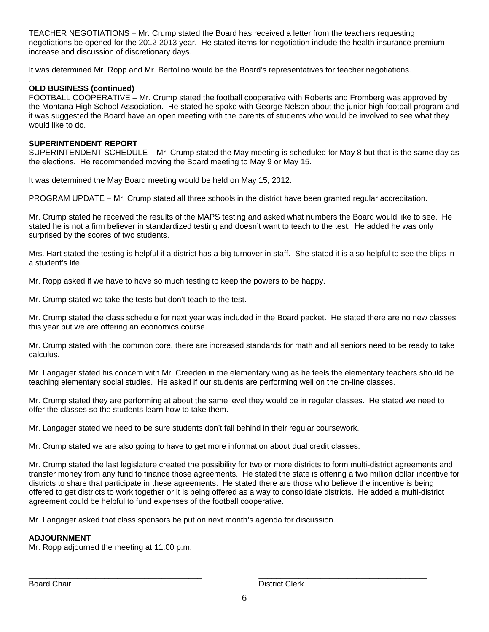TEACHER NEGOTIATIONS – Mr. Crump stated the Board has received a letter from the teachers requesting negotiations be opened for the 2012-2013 year. He stated items for negotiation include the health insurance premium increase and discussion of discretionary days.

It was determined Mr. Ropp and Mr. Bertolino would be the Board's representatives for teacher negotiations.

#### . **OLD BUSINESS (continued)**

FOOTBALL COOPERATIVE – Mr. Crump stated the football cooperative with Roberts and Fromberg was approved by the Montana High School Association. He stated he spoke with George Nelson about the junior high football program and it was suggested the Board have an open meeting with the parents of students who would be involved to see what they would like to do.

### **SUPERINTENDENT REPORT**

SUPERINTENDENT SCHEDULE – Mr. Crump stated the May meeting is scheduled for May 8 but that is the same day as the elections. He recommended moving the Board meeting to May 9 or May 15.

It was determined the May Board meeting would be held on May 15, 2012.

PROGRAM UPDATE – Mr. Crump stated all three schools in the district have been granted regular accreditation.

Mr. Crump stated he received the results of the MAPS testing and asked what numbers the Board would like to see. He stated he is not a firm believer in standardized testing and doesn't want to teach to the test. He added he was only surprised by the scores of two students.

Mrs. Hart stated the testing is helpful if a district has a big turnover in staff. She stated it is also helpful to see the blips in a student's life.

Mr. Ropp asked if we have to have so much testing to keep the powers to be happy.

Mr. Crump stated we take the tests but don't teach to the test.

Mr. Crump stated the class schedule for next year was included in the Board packet. He stated there are no new classes this year but we are offering an economics course.

Mr. Crump stated with the common core, there are increased standards for math and all seniors need to be ready to take calculus.

Mr. Langager stated his concern with Mr. Creeden in the elementary wing as he feels the elementary teachers should be teaching elementary social studies. He asked if our students are performing well on the on-line classes.

Mr. Crump stated they are performing at about the same level they would be in regular classes. He stated we need to offer the classes so the students learn how to take them.

Mr. Langager stated we need to be sure students don't fall behind in their regular coursework.

Mr. Crump stated we are also going to have to get more information about dual credit classes.

Mr. Crump stated the last legislature created the possibility for two or more districts to form multi-district agreements and transfer money from any fund to finance those agreements. He stated the state is offering a two million dollar incentive for districts to share that participate in these agreements. He stated there are those who believe the incentive is being offered to get districts to work together or it is being offered as a way to consolidate districts. He added a multi-district agreement could be helpful to fund expenses of the football cooperative.

Mr. Langager asked that class sponsors be put on next month's agenda for discussion.

## **ADJOURNMENT**

Mr. Ropp adjourned the meeting at 11:00 p.m.

\_\_\_\_\_\_\_\_\_\_\_\_\_\_\_\_\_\_\_\_\_\_\_\_\_\_\_\_\_\_\_\_\_\_\_\_\_\_\_ \_\_\_\_\_\_\_\_\_\_\_\_\_\_\_\_\_\_\_\_\_\_\_\_\_\_\_\_\_\_\_\_\_\_\_\_\_\_ Board Chair **District Clerk District Clerk**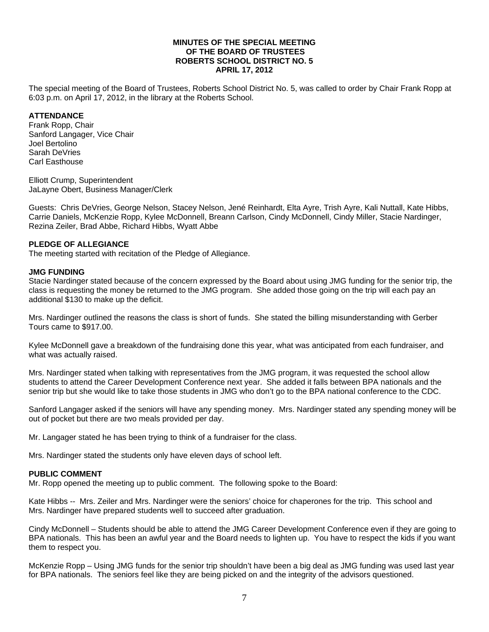#### **MINUTES OF THE SPECIAL MEETING OF THE BOARD OF TRUSTEES ROBERTS SCHOOL DISTRICT NO. 5 APRIL 17, 2012**

The special meeting of the Board of Trustees, Roberts School District No. 5, was called to order by Chair Frank Ropp at 6:03 p.m. on April 17, 2012, in the library at the Roberts School.

### **ATTENDANCE**

Frank Ropp, Chair Sanford Langager, Vice Chair Joel Bertolino Sarah DeVries Carl Easthouse

Elliott Crump, Superintendent JaLayne Obert, Business Manager/Clerk

Guests: Chris DeVries, George Nelson, Stacey Nelson, Jené Reinhardt, Elta Ayre, Trish Ayre, Kali Nuttall, Kate Hibbs, Carrie Daniels, McKenzie Ropp, Kylee McDonnell, Breann Carlson, Cindy McDonnell, Cindy Miller, Stacie Nardinger, Rezina Zeiler, Brad Abbe, Richard Hibbs, Wyatt Abbe

#### **PLEDGE OF ALLEGIANCE**

The meeting started with recitation of the Pledge of Allegiance.

#### **JMG FUNDING**

Stacie Nardinger stated because of the concern expressed by the Board about using JMG funding for the senior trip, the class is requesting the money be returned to the JMG program. She added those going on the trip will each pay an additional \$130 to make up the deficit.

Mrs. Nardinger outlined the reasons the class is short of funds. She stated the billing misunderstanding with Gerber Tours came to \$917.00.

Kylee McDonnell gave a breakdown of the fundraising done this year, what was anticipated from each fundraiser, and what was actually raised.

Mrs. Nardinger stated when talking with representatives from the JMG program, it was requested the school allow students to attend the Career Development Conference next year. She added it falls between BPA nationals and the senior trip but she would like to take those students in JMG who don't go to the BPA national conference to the CDC.

Sanford Langager asked if the seniors will have any spending money. Mrs. Nardinger stated any spending money will be out of pocket but there are two meals provided per day.

Mr. Langager stated he has been trying to think of a fundraiser for the class.

Mrs. Nardinger stated the students only have eleven days of school left.

#### **PUBLIC COMMENT**

Mr. Ropp opened the meeting up to public comment. The following spoke to the Board:

Kate Hibbs -- Mrs. Zeiler and Mrs. Nardinger were the seniors' choice for chaperones for the trip. This school and Mrs. Nardinger have prepared students well to succeed after graduation.

Cindy McDonnell – Students should be able to attend the JMG Career Development Conference even if they are going to BPA nationals. This has been an awful year and the Board needs to lighten up. You have to respect the kids if you want them to respect you.

McKenzie Ropp – Using JMG funds for the senior trip shouldn't have been a big deal as JMG funding was used last year for BPA nationals. The seniors feel like they are being picked on and the integrity of the advisors questioned.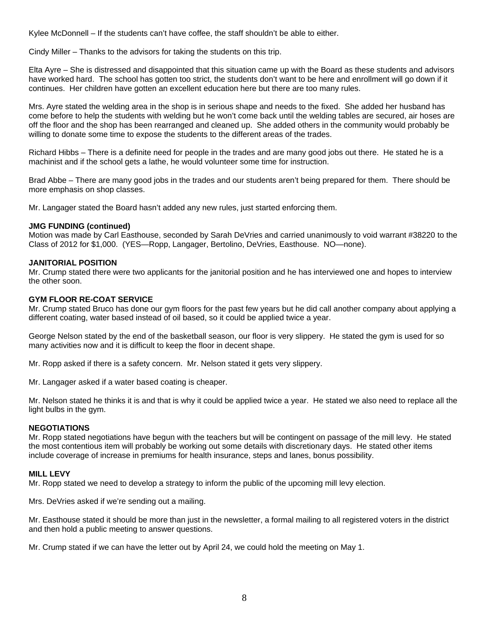Kylee McDonnell – If the students can't have coffee, the staff shouldn't be able to either.

Cindy Miller – Thanks to the advisors for taking the students on this trip.

Elta Ayre – She is distressed and disappointed that this situation came up with the Board as these students and advisors have worked hard. The school has gotten too strict, the students don't want to be here and enrollment will go down if it continues. Her children have gotten an excellent education here but there are too many rules.

Mrs. Ayre stated the welding area in the shop is in serious shape and needs to the fixed. She added her husband has come before to help the students with welding but he won't come back until the welding tables are secured, air hoses are off the floor and the shop has been rearranged and cleaned up. She added others in the community would probably be willing to donate some time to expose the students to the different areas of the trades.

Richard Hibbs – There is a definite need for people in the trades and are many good jobs out there. He stated he is a machinist and if the school gets a lathe, he would volunteer some time for instruction.

Brad Abbe – There are many good jobs in the trades and our students aren't being prepared for them. There should be more emphasis on shop classes.

Mr. Langager stated the Board hasn't added any new rules, just started enforcing them.

### **JMG FUNDING (continued)**

Motion was made by Carl Easthouse, seconded by Sarah DeVries and carried unanimously to void warrant #38220 to the Class of 2012 for \$1,000. (YES—Ropp, Langager, Bertolino, DeVries, Easthouse. NO—none).

### **JANITORIAL POSITION**

Mr. Crump stated there were two applicants for the janitorial position and he has interviewed one and hopes to interview the other soon.

### **GYM FLOOR RE-COAT SERVICE**

Mr. Crump stated Bruco has done our gym floors for the past few years but he did call another company about applying a different coating, water based instead of oil based, so it could be applied twice a year.

George Nelson stated by the end of the basketball season, our floor is very slippery. He stated the gym is used for so many activities now and it is difficult to keep the floor in decent shape.

Mr. Ropp asked if there is a safety concern. Mr. Nelson stated it gets very slippery.

Mr. Langager asked if a water based coating is cheaper.

Mr. Nelson stated he thinks it is and that is why it could be applied twice a year. He stated we also need to replace all the light bulbs in the gym.

#### **NEGOTIATIONS**

Mr. Ropp stated negotiations have begun with the teachers but will be contingent on passage of the mill levy. He stated the most contentious item will probably be working out some details with discretionary days. He stated other items include coverage of increase in premiums for health insurance, steps and lanes, bonus possibility.

#### **MILL LEVY**

Mr. Ropp stated we need to develop a strategy to inform the public of the upcoming mill levy election.

Mrs. DeVries asked if we're sending out a mailing.

Mr. Easthouse stated it should be more than just in the newsletter, a formal mailing to all registered voters in the district and then hold a public meeting to answer questions.

Mr. Crump stated if we can have the letter out by April 24, we could hold the meeting on May 1.